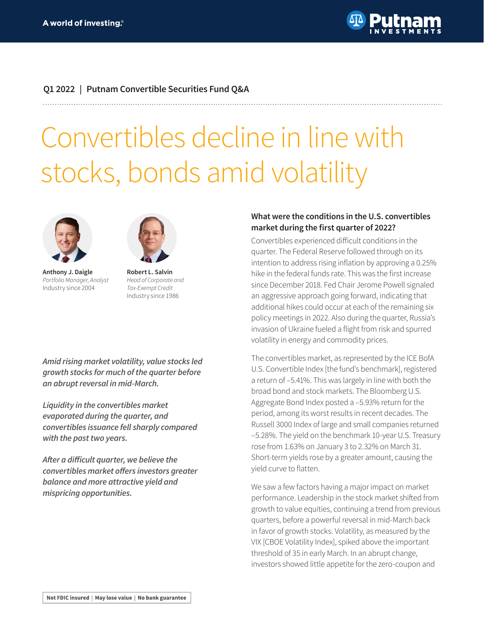

# **Q1 2022 | Putnam Convertible Securities Fund Q&A**

# Convertibles decline in line with stocks, bonds amid volatility



**Anthony J. Daigle** *Portfolio Manager, Analyst* Industry since 2004



**Robert L. Salvin** *Head of Corporate and Tax-Exempt Credit* Industry since 1986

*Amid rising market volatility, value stocks led growth stocks for much of the quarter before an abrupt reversal in mid-March.*

*Liquidity in the convertibles market evaporated during the quarter, and convertibles issuance fell sharply compared with the past two years.*

**After a difficult quarter, we believe the convertibles market offers investors greater**  *balance and more attractive yield and mispricing opportunities.*

### **What were the conditions in the U.S. convertibles market during the first quarter of 2022?**

Convertibles experienced difficult conditions in the quarter. The Federal Reserve followed through on its intention to address rising inflation by approving a 0.25% hike in the federal funds rate. This was the first increase since December 2018. Fed Chair Jerome Powell signaled an aggressive approach going forward, indicating that additional hikes could occur at each of the remaining six policy meetings in 2022. Also during the quarter, Russia's invasion of Ukraine fueled a flight from risk and spurred volatility in energy and commodity prices.

The convertibles market, as represented by the ICE BofA U.S. Convertible Index [the fund's benchmark], registered a return of –5.41%. This was largely in line with both the broad bond and stock markets. The Bloomberg U.S. Aggregate Bond Index posted a –5.93% return for the period, among its worst results in recent decades. The Russell 3000 Index of large and small companies returned –5.28%. The yield on the benchmark 10-year U.S. Treasury rose from 1.63% on January 3 to 2.32% on March 31. Short-term yields rose by a greater amount, causing the yield curve to flatten.

We saw a few factors having a major impact on market performance. Leadership in the stock market shifted from growth to value equities, continuing a trend from previous quarters, before a powerful reversal in mid-March back in favor of growth stocks. Volatility, as measured by the VIX [CBOE Volatility Index], spiked above the important threshold of 35 in early March. In an abrupt change, investors showed little appetite for the zero-coupon and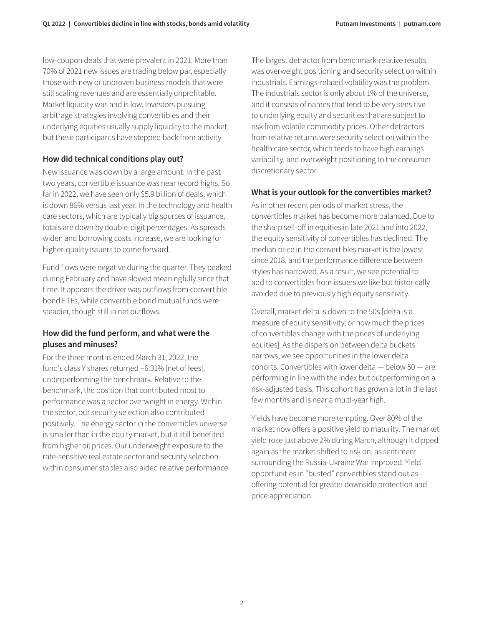low-coupon deals that were prevalent in 2021. More than 70% of 2021 new issues are trading below par, especially those with new or unproven business models that were still scaling revenues and are essentially unprofitable. Market liquidity was and is low. Investors pursuing arbitrage strategies involving convertibles and their underlying equities usually supply liquidity to the market, but these participants have stepped back from activity.

### **How did technical conditions play out?**

New issuance was down by a large amount. In the past two years, convertible issuance was near record highs. So far in 2022, we have seen only \$5.9 billion of deals, which is down 86% versus last year. In the technology and health care sectors, which are typically big sources of issuance, totals are down by double-digit percentages. As spreads widen and borrowing costs increase, we are looking for higher-quality issuers to come forward.

Fund flows were negative during the quarter. They peaked during February and have slowed meaningfully since that time. It appears the driver was outflows from convertible bond ETFs, while convertible bond mutual funds were steadier, though still in net outflows.

# **How did the fund perform, and what were the pluses and minuses?**

For the three months ended March 31, 2022, the fund's class Y shares returned –6.31% [net of fees], underperforming the benchmark. Relative to the benchmark, the position that contributed most to performance was a sector overweight in energy. Within the sector, our security selection also contributed positively. The energy sector in the convertibles universe is smaller than in the equity market, but it still benefited from higher oil prices. Our underweight exposure to the rate-sensitive real estate sector and security selection within consumer staples also aided relative performance. The largest detractor from benchmark-relative results was overweight positioning and security selection within industrials. Earnings-related volatility was the problem. The industrials sector is only about 1% of the universe, and it consists of names that tend to be very sensitive to underlying equity and securities that are subject to risk from volatile commodity prices. Other detractors from relative returns were security selection within the health care sector, which tends to have high earnings variability, and overweight positioning to the consumer discretionary sector.

# **What is your outlook for the convertibles market?**

As in other recent periods of market stress, the convertibles market has become more balanced. Due to the sharp sell-off in equities in late 2021 and into 2022, the equity sensitivity of convertibles has declined. The median price in the convertibles market is the lowest since 2018, and the performance difference between styles has narrowed. As a result, we see potential to add to convertibles from issuers we like but historically avoided due to previously high equity sensitivity.

Overall, market delta is down to the 50s [delta is a measure of equity sensitivity, or how much the prices of convertibles change with the prices of underlying equities]. As the dispersion between delta buckets narrows, we see opportunities in the lower delta cohorts. Convertibles with lower delta — below 50 — are performing in line with the index but outperforming on a risk-adjusted basis. This cohort has grown a lot in the last few months and is near a multi-year high.

Yields have become more tempting. Over 80% of the market now offers a positive yield to maturity. The market yield rose just above 2% during March, although it dipped again as the market shifted to risk on, as sentiment surrounding the Russia-Ukraine War improved. Yield opportunities in "busted" convertibles stand out as offering potential for greater downside protection and price appreciation.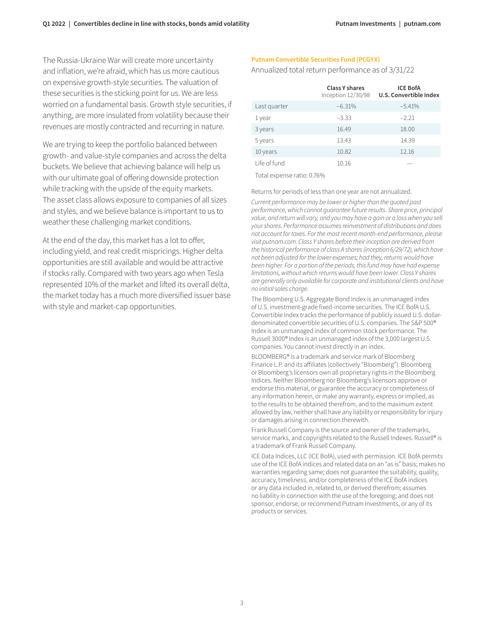The Russia-Ukraine War will create more uncertainty and inflation, we're afraid, which has us more cautious on expensive growth-style securities. The valuation of these securities is the sticking point for us. We are less worried on a fundamental basis. Growth style securities, if anything, are more insulated from volatility because their revenues are mostly contracted and recurring in nature.

We are trying to keep the portfolio balanced between growth- and value-style companies and across the delta buckets. We believe that achieving balance will help us with our ultimate goal of offering downside protection while tracking with the upside of the equity markets. The asset class allows exposure to companies of all sizes and styles, and we believe balance is important to us to weather these challenging market conditions.

At the end of the day, this market has a lot to offer, including yield, and real credit mispricings. Higher delta opportunities are still available and would be attractive if stocks rally. Compared with two years ago when Tesla represented 10% of the market and lifted its overall delta, the market today has a much more diversified issuer base with style and market-cap opportunities.

#### **Putnam Convertible Securities Fund (PCGYX)**

Annualized total return performance as of 3/31/22

|              | <b>Class Y shares</b><br>Inception 12/30/98 | <b>ICE BofA</b><br>U.S. Convertible Index |
|--------------|---------------------------------------------|-------------------------------------------|
| Last quarter | $-6.31%$                                    | $-5.41%$                                  |
| 1 year       | $-3.33$                                     | $-2.21$                                   |
| 3 years      | 16.49                                       | 18.00                                     |
| 5 years      | 13.43                                       | 14.39                                     |
| 10 years     | 10.82                                       | 12.16                                     |
| Life of fund | 10.16                                       |                                           |

Total expense ratio: 0.76%

Returns for periods of less than one year are not annualized.

*Current performance may be lower or higher than the quoted past performance, which cannot guarantee future results. Share price, principal*  value, and return will vary, and you may have a gain or a loss when you sell *your shares. Performance assumes reinvestment of distributions and does not account for taxes. For the most recent month-end performance, please visit [putnam.com.](https://www.putnam.com?ref=TL019.pdf) Class Y shares before their inception are derived from the historical performance of class A shares (inception 6/29/72), which have not been adjusted for the lower expenses; had they, returns would have been higher. For a portion of the periods, this fund may have had expense limitations, without which returns would have been lower. Class Y shares are generally only available for corporate and institutional clients and have no initial sales charge.* 

The Bloomberg U.S. Aggregate Bond Index is an unmanaged index of U.S. investment-grade fixed-income securities. The ICE BofA U.S. Convertible Index tracks the performance of publicly issued U.S. dollardenominated convertible securities of U.S. companies. The S&P 500® Index is an unmanaged index of common stock performance. The Russell 3000® Index is an unmanaged index of the 3,000 largest U.S. companies. You cannot invest directly in an index.

BLOOMBERG® is a trademark and service mark of Bloomberg Finance L.P. and its affiliates (collectively "Bloomberg"). Bloomberg or Bloomberg's licensors own all proprietary rights in the Bloomberg Indices. Neither Bloomberg nor Bloomberg's licensors approve or endorse this material, or guarantee the accuracy or completeness of any information herein, or make any warranty, express or implied, as to the results to be obtained therefrom, and to the maximum extent allowed by law, neither shall have any liability or responsibility for injury or damages arising in connection therewith.

Frank Russell Company is the source and owner of the trademarks, service marks, and copyrights related to the Russell Indexes. Russell® is a trademark of Frank Russell Company.

ICE Data Indices, LLC (ICE BofA), used with permission. ICE BofA permits use of the ICE BofA indices and related data on an "as is" basis; makes no warranties regarding same; does not guarantee the suitability, quality, accuracy, timeliness, and/or completeness of the ICE BofA indices or any data included in, related to, or derived therefrom; assumes no liability in connection with the use of the foregoing; and does not sponsor, endorse, or recommend Putnam Investments, or any of its products or services.